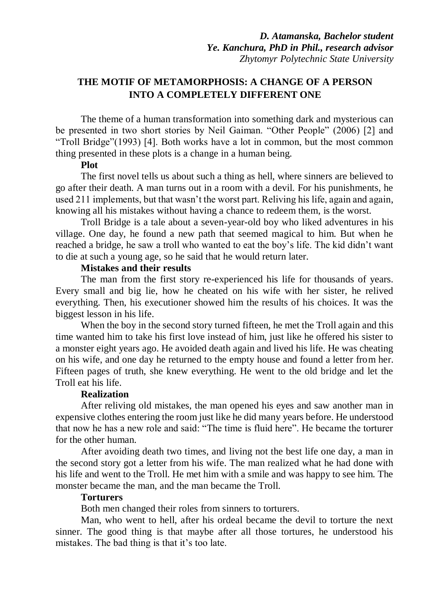# **THE MOTIF OF METAMORPHOSIS: A CHANGE OF A PERSON INTO A COMPLETELY DIFFERENT ONE**

The theme of a human transformation into something dark and mysterious can be presented in two short stories by Neil Gaiman. "Other People" (2006) [2] and "Troll Bridge"(1993) [4]. Both works have a lot in common, but the most common thing presented in these plots is a change in a human being.

#### **Plot**

The first novel tells us about such a thing as hell, where sinners are believed to go after their death. A man turns out in a room with a devil. For his punishments, he used 211 implements, but that wasn't the worst part. Reliving his life, again and again, knowing all his mistakes without having a chance to redeem them, is the worst.

Troll Bridge is a tale about a seven-year-old boy who liked adventures in his village. One day, he found a new path that seemed magical to him. But when he reached a bridge, he saw a troll who wanted to eat the boy's life. The kid didn't want to die at such a young age, so he said that he would return later.

#### **Mistakes and their results**

The man from the first story re-experienced his life for thousands of years. Every small and big lie, how he cheated on his wife with her sister, he relived everything. Then, his executioner showed him the results of his choices. It was the biggest lesson in his life.

When the boy in the second story turned fifteen, he met the Troll again and this time wanted him to take his first love instead of him, just like he offered his sister to a monster eight years ago. He avoided death again and lived his life. He was cheating on his wife, and one day he returned to the empty house and found a letter from her. Fifteen pages of truth, she knew everything. He went to the old bridge and let the Troll eat his life.

# **Realization**

After reliving old mistakes, the man opened his eyes and saw another man in expensive clothes entering the room just like he did many years before. He understood that now he has a new role and said: "The time is fluid here". He became the torturer for the other human.

After avoiding death two times, and living not the best life one day, a man in the second story got a letter from his wife. The man realized what he had done with his life and went to the Troll. He met him with a smile and was happy to see him. The monster became the man, and the man became the Troll.

# **Torturers**

Both men changed their roles from sinners to torturers.

Man, who went to hell, after his ordeal became the devil to torture the next sinner. The good thing is that maybe after all those tortures, he understood his mistakes. The bad thing is that it's too late.